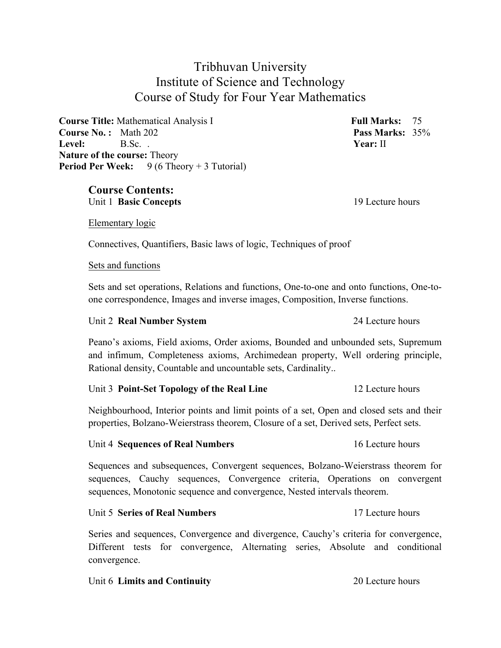# Tribhuvan University Institute of Science and Technology Course of Study for Four Year Mathematics

**Course Title:** Mathematical Analysis I **Full Marks:** 75 **Course No. :** Math 202 **Pass Marks:** 35% **Level:** B.Sc. . **Year:** II **Nature of the course:** Theory **Period Per Week:** 9 (6 Theory + 3 Tutorial)

# **Course Contents:**

Unit 1 **Basic Concepts** 19 Lecture hours

Elementary logic

Connectives, Quantifiers, Basic laws of logic, Techniques of proof

#### Sets and functions

Sets and set operations, Relations and functions, One-to-one and onto functions, One-toone correspondence, Images and inverse images, Composition, Inverse functions.

### Unit 2 **Real Number System** 24 Lecture hours

Peano's axioms, Field axioms, Order axioms, Bounded and unbounded sets, Supremum and infimum, Completeness axioms, Archimedean property, Well ordering principle, Rational density, Countable and uncountable sets, Cardinality..

### Unit 3 **Point-Set Topology of the Real Line** 12 Lecture hours

Neighbourhood, Interior points and limit points of a set, Open and closed sets and their properties, Bolzano-Weierstrass theorem, Closure of a set, Derived sets, Perfect sets.

#### Unit 4 **Sequences of Real Numbers** 16 Lecture hours

Sequences and subsequences, Convergent sequences, Bolzano-Weierstrass theorem for sequences, Cauchy sequences, Convergence criteria, Operations on convergent sequences, Monotonic sequence and convergence, Nested intervals theorem.

#### Unit 5 **Series of Real Numbers 17** Lecture hours

Series and sequences, Convergence and divergence, Cauchy's criteria for convergence, Different tests for convergence, Alternating series, Absolute and conditional convergence.

#### Unit 6 **Limits and Continuity** 20 Lecture hours